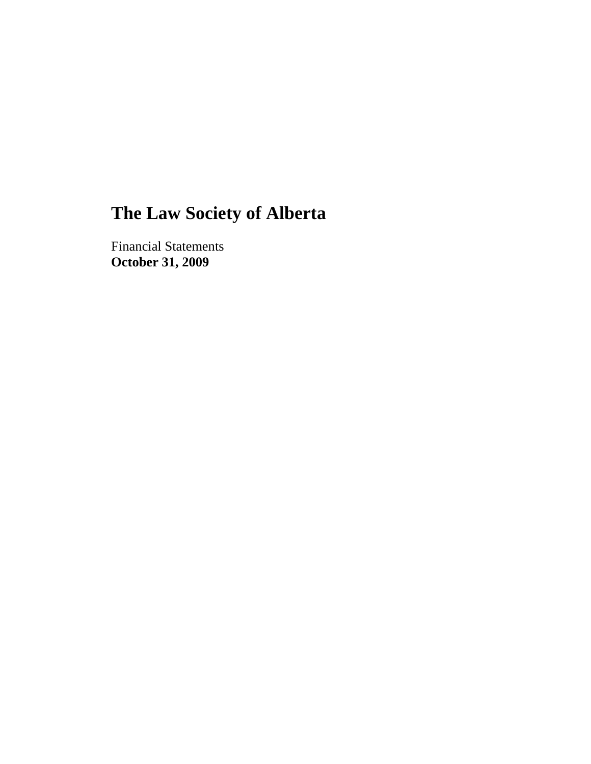# **The Law Society of Alberta**

Financial Statements **October 31, 2009**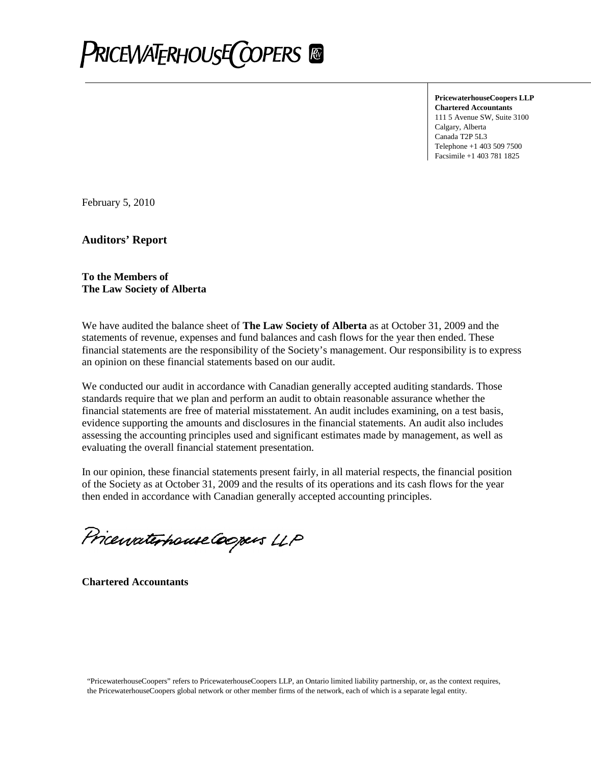

**PricewaterhouseCoopers LLP Chartered Accountants** 111 5 Avenue SW, Suite 3100 Calgary, Alberta Canada T2P 5L3 Telephone +1 403 509 7500 Facsimile +1 403 781 1825

February 5, 2010

**Auditors' Report**

#### **To the Members of The Law Society of Alberta**

We have audited the balance sheet of **The Law Society of Alberta** as at October 31, 2009 and the statements of revenue, expenses and fund balances and cash flows for the year then ended. These financial statements are the responsibility of the Society's management. Our responsibility is to express an opinion on these financial statements based on our audit.

We conducted our audit in accordance with Canadian generally accepted auditing standards. Those standards require that we plan and perform an audit to obtain reasonable assurance whether the financial statements are free of material misstatement. An audit includes examining, on a test basis, evidence supporting the amounts and disclosures in the financial statements. An audit also includes assessing the accounting principles used and significant estimates made by management, as well as evaluating the overall financial statement presentation.

In our opinion, these financial statements present fairly, in all material respects, the financial position of the Society as at October 31, 2009 and the results of its operations and its cash flows for the year then ended in accordance with Canadian generally accepted accounting principles.

Pricewaterhouse Coopers LLP

**Chartered Accountants**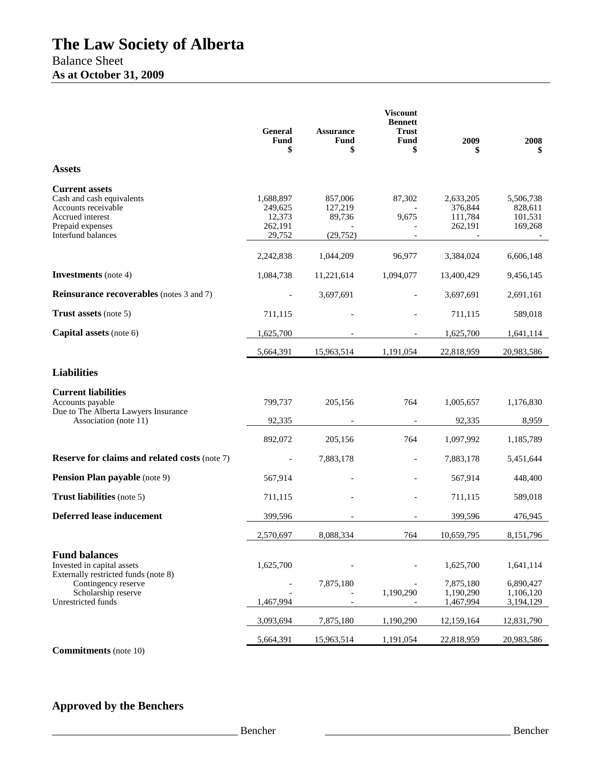|                                                                                                                                         | <b>General</b><br>Fund<br>\$                        | <b>Assurance</b><br>Fund<br>\$            | <b>Viscount</b><br><b>Bennett</b><br><b>Trust</b><br>Fund<br>\$ | 2009<br>\$                                 | 2008                                       |
|-----------------------------------------------------------------------------------------------------------------------------------------|-----------------------------------------------------|-------------------------------------------|-----------------------------------------------------------------|--------------------------------------------|--------------------------------------------|
| <b>Assets</b>                                                                                                                           |                                                     |                                           |                                                                 |                                            |                                            |
| <b>Current assets</b><br>Cash and cash equivalents<br>Accounts receivable<br>Accrued interest<br>Prepaid expenses<br>Interfund balances | 1,688,897<br>249,625<br>12,373<br>262,191<br>29,752 | 857,006<br>127,219<br>89,736<br>(29, 752) | 87,302<br>9,675                                                 | 2,633,205<br>376,844<br>111,784<br>262,191 | 5,506,738<br>828,611<br>101,531<br>169,268 |
|                                                                                                                                         | 2,242,838                                           | 1,044,209                                 | 96,977                                                          | 3,384,024                                  | 6,606,148                                  |
| <b>Investments</b> (note 4)                                                                                                             | 1,084,738                                           | 11,221,614                                | 1,094,077                                                       | 13,400,429                                 | 9,456,145                                  |
| <b>Reinsurance recoverables</b> (notes 3 and 7)                                                                                         |                                                     | 3,697,691                                 |                                                                 | 3,697,691                                  | 2,691,161                                  |
| <b>Trust assets</b> (note 5)                                                                                                            | 711,115                                             |                                           |                                                                 | 711,115                                    | 589,018                                    |
| Capital assets (note 6)                                                                                                                 | 1,625,700                                           |                                           |                                                                 | 1,625,700                                  | 1,641,114                                  |
|                                                                                                                                         | 5,664,391                                           | 15,963,514                                | 1,191,054                                                       | 22,818,959                                 | 20,983,586                                 |
| <b>Liabilities</b>                                                                                                                      |                                                     |                                           |                                                                 |                                            |                                            |
| <b>Current liabilities</b><br>Accounts payable<br>Due to The Alberta Lawyers Insurance<br>Association (note 11)                         | 799,737<br>92,335                                   | 205,156                                   | 764                                                             | 1,005,657<br>92,335                        | 1,176,830<br>8,959                         |
|                                                                                                                                         | 892,072                                             | 205,156                                   | 764                                                             | 1,097,992                                  | 1,185,789                                  |
| <b>Reserve for claims and related costs (note 7)</b>                                                                                    |                                                     | 7,883,178                                 | $\overline{\phantom{0}}$                                        | 7,883,178                                  | 5,451,644                                  |
| <b>Pension Plan payable</b> (note 9)                                                                                                    | 567,914                                             |                                           |                                                                 | 567,914                                    | 448,400                                    |
| <b>Trust liabilities</b> (note 5)                                                                                                       | 711,115                                             |                                           |                                                                 | 711,115                                    | 589,018                                    |
| <b>Deferred lease inducement</b>                                                                                                        | 399,596                                             |                                           |                                                                 | 399,596                                    | 476,945                                    |
|                                                                                                                                         | 2,570,697                                           | 8,088,334                                 | 764                                                             | 10,659,795                                 | 8,151,796                                  |
| <b>Fund balances</b><br>Invested in capital assets<br>Externally restricted funds (note 8)                                              | 1,625,700                                           |                                           |                                                                 | 1,625,700                                  | 1,641,114                                  |
| Contingency reserve<br>Scholarship reserve<br>Unrestricted funds                                                                        | 1,467,994                                           | 7,875,180                                 | 1,190,290                                                       | 7,875,180<br>1,190,290<br>1,467,994        | 6,890,427<br>1,106,120<br>3,194,129        |
|                                                                                                                                         | 3,093,694                                           | 7,875,180                                 | 1,190,290                                                       | 12,159,164                                 | 12,831,790                                 |
|                                                                                                                                         | 5,664,391                                           | 15,963,514                                | 1,191,054                                                       | 22,818,959                                 | 20,983,586                                 |

**Commitments** (note 10)

# **Approved by the Benchers**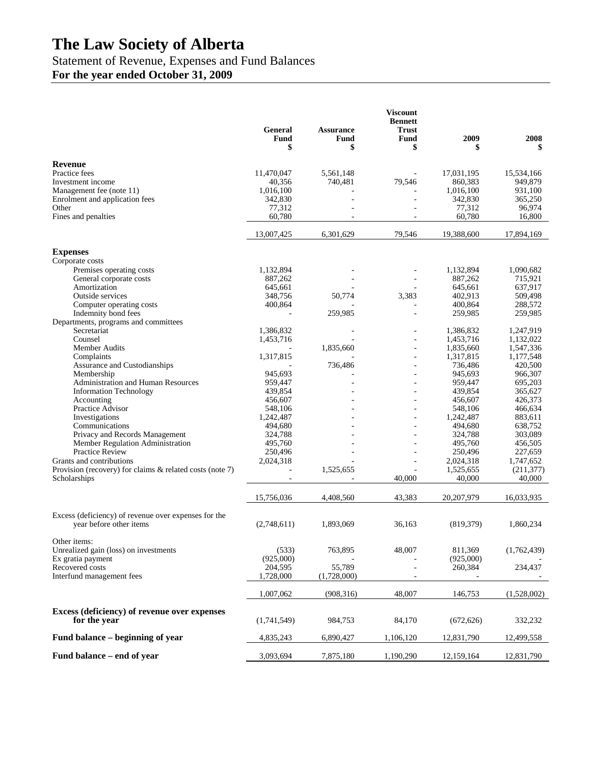# **The Law Society of Alberta**

# Statement of Revenue, Expenses and Fund Balances

**For the year ended October 31, 2009**

|                                                             | General<br>Fund<br>\$ | <b>Assurance</b><br><b>Fund</b><br>\$ | <b>Viscount</b><br><b>Bennett</b><br><b>Trust</b><br>Fund<br>\$ | 2009<br>\$ | 2008        |
|-------------------------------------------------------------|-----------------------|---------------------------------------|-----------------------------------------------------------------|------------|-------------|
| Revenue                                                     |                       |                                       |                                                                 |            |             |
| Practice fees                                               | 11,470,047            | 5,561,148                             |                                                                 | 17,031,195 | 15,534,166  |
| Investment income                                           | 40,356                | 740,481                               | 79,546                                                          | 860,383    | 949,879     |
| Management fee (note 11)                                    | 1,016,100             |                                       |                                                                 | 1,016,100  | 931,100     |
| Enrolment and application fees                              | 342,830               |                                       |                                                                 | 342,830    | 365,250     |
| Other                                                       | 77,312                |                                       |                                                                 | 77,312     | 96,974      |
| Fines and penalties                                         | 60,780                |                                       |                                                                 | 60,780     | 16,800      |
|                                                             | 13,007,425            | 6,301,629                             | 79,546                                                          | 19,388,600 | 17,894,169  |
| <b>Expenses</b>                                             |                       |                                       |                                                                 |            |             |
| Corporate costs                                             |                       |                                       |                                                                 |            |             |
| Premises operating costs                                    | 1,132,894             |                                       |                                                                 | 1,132,894  | 1,090,682   |
| General corporate costs                                     | 887,262               |                                       |                                                                 | 887,262    | 715,921     |
| Amortization                                                | 645,661               |                                       |                                                                 | 645,661    | 637,917     |
| Outside services                                            | 348,756               | 50,774                                | 3,383                                                           | 402,913    | 509,498     |
| Computer operating costs                                    | 400,864               |                                       | ÷,                                                              | 400.864    | 288,572     |
| Indemnity bond fees<br>Departments, programs and committees |                       | 259,985                               |                                                                 | 259,985    | 259,985     |
| Secretariat                                                 | 1,386,832             |                                       | $\overline{a}$                                                  | 1,386,832  | 1,247,919   |
| Counsel                                                     | 1,453,716             |                                       |                                                                 | 1,453,716  | 1,132,022   |
| Member Audits                                               |                       | 1,835,660                             | ÷,                                                              | 1,835,660  | 1,547,336   |
| Complaints                                                  | 1,317,815             |                                       | ÷                                                               | 1,317,815  | 1,177,548   |
| Assurance and Custodianships                                |                       | 736,486                               |                                                                 | 736,486    | 420,500     |
| Membership                                                  | 945.693               |                                       |                                                                 | 945,693    | 966,307     |
| Administration and Human Resources                          | 959,447               |                                       |                                                                 | 959,447    | 695,203     |
| <b>Information Technology</b>                               | 439,854               |                                       |                                                                 | 439,854    | 365,627     |
| Accounting                                                  | 456,607               |                                       | $\overline{a}$                                                  | 456,607    | 426,373     |
| Practice Advisor                                            | 548,106               |                                       |                                                                 | 548,106    | 466,634     |
| Investigations                                              | 1,242,487             |                                       | ÷                                                               | 1,242,487  | 883,611     |
| Communications                                              | 494,680               |                                       |                                                                 | 494,680    | 638,752     |
| Privacy and Records Management                              | 324,788               |                                       | ÷                                                               | 324,788    | 303,089     |
| Member Regulation Administration                            | 495,760               |                                       |                                                                 | 495,760    | 456,505     |
| Practice Review                                             | 250,496               |                                       | $\overline{a}$                                                  | 250,496    | 227,659     |
| Grants and contributions                                    | 2,024,318             |                                       | ÷                                                               | 2,024,318  | 1,747,652   |
| Provision (recovery) for claims & related costs (note 7)    |                       | 1,525,655                             |                                                                 | 1,525,655  | (211, 377)  |
| Scholarships                                                |                       |                                       | 40,000                                                          | 40,000     | 40,000      |
|                                                             | 15,756,036            | 4,408,560                             | 43,383                                                          | 20,207,979 | 16,033,935  |
| Excess (deficiency) of revenue over expenses for the        |                       |                                       |                                                                 |            |             |
| year before other items                                     | (2,748,611)           | 1,893,069                             | 36.163                                                          | (819, 379) | 1,860,234   |
| Other items:                                                |                       |                                       |                                                                 |            |             |
| Unrealized gain (loss) on investments                       | (533)                 | 763,895                               | 48,007                                                          | 811,369    | (1,762,439) |
| Ex gratia payment                                           | (925,000)             |                                       |                                                                 | (925,000)  |             |
| Recovered costs                                             | 204,595               | 55,789                                |                                                                 | 260,384    | 234,437     |
| Interfund management fees                                   | 1,728,000             | (1,728,000)                           |                                                                 |            |             |
|                                                             | 1,007,062             | (908, 316)                            | 48,007                                                          | 146,753    | (1,528,002) |
| Excess (deficiency) of revenue over expenses                |                       |                                       |                                                                 |            |             |
| for the year                                                | (1,741,549)           | 984,753                               | 84,170                                                          | (672, 626) | 332,232     |
| Fund balance – beginning of year                            | 4,835,243             | 6,890,427                             | 1,106,120                                                       | 12,831,790 | 12,499,558  |
| Fund balance – end of year                                  | 3,093,694             | 7,875,180                             | 1,190,290                                                       | 12,159,164 | 12,831,790  |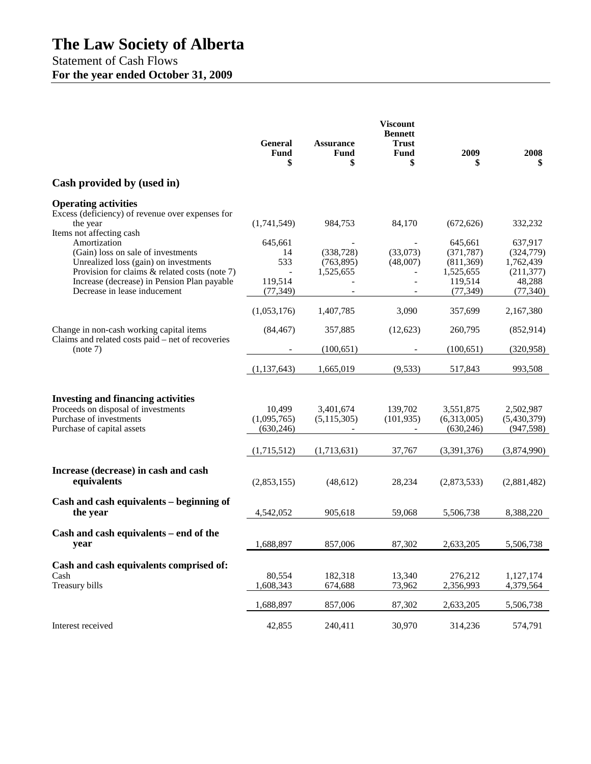# **The Law Society of Alberta**

Statement of Cash Flows **For the year ended October 31, 2009**

|                                                                                                                                                | <b>General</b><br>Fund<br>\$        | <b>Assurance</b><br><b>Fund</b><br>\$ | <b>Viscount</b><br><b>Bennett</b><br>Trust<br><b>Fund</b><br>\$ | 2009                                             | 2008<br>\$                                       |
|------------------------------------------------------------------------------------------------------------------------------------------------|-------------------------------------|---------------------------------------|-----------------------------------------------------------------|--------------------------------------------------|--------------------------------------------------|
| Cash provided by (used in)                                                                                                                     |                                     |                                       |                                                                 |                                                  |                                                  |
| <b>Operating activities</b><br>Excess (deficiency) of revenue over expenses for<br>the year                                                    | (1,741,549)                         | 984,753                               | 84,170                                                          | (672, 626)                                       | 332,232                                          |
| Items not affecting cash                                                                                                                       |                                     |                                       |                                                                 |                                                  |                                                  |
| Amortization<br>(Gain) loss on sale of investments<br>Unrealized loss (gain) on investments<br>Provision for claims $&$ related costs (note 7) | 645.661<br>14<br>533                | (338, 728)<br>(763, 895)<br>1,525,655 | (33,073)<br>(48,007)<br>$\overline{\phantom{a}}$                | 645,661<br>(371, 787)<br>(811, 369)<br>1,525,655 | 637,917<br>(324, 779)<br>1,762,439<br>(211, 377) |
| Increase (decrease) in Pension Plan payable<br>Decrease in lease inducement                                                                    | 119,514<br>(77, 349)                |                                       |                                                                 | 119,514<br>(77, 349)                             | 48,288<br>(77, 340)                              |
|                                                                                                                                                | (1,053,176)                         | 1,407,785                             | 3,090                                                           | 357,699                                          | 2,167,380                                        |
| Change in non-cash working capital items<br>Claims and related costs paid – net of recoveries                                                  | (84, 467)                           | 357,885                               | (12,623)                                                        | 260,795                                          | (852, 914)                                       |
| (note 7)                                                                                                                                       |                                     | (100, 651)                            |                                                                 | (100, 651)                                       | (320, 958)                                       |
|                                                                                                                                                | (1, 137, 643)                       | 1,665,019                             | (9,533)                                                         | 517,843                                          | 993,508                                          |
| <b>Investing and financing activities</b><br>Proceeds on disposal of investments<br>Purchase of investments<br>Purchase of capital assets      | 10,499<br>(1,095,765)<br>(630, 246) | 3,401,674<br>(5,115,305)              | 139,702<br>(101, 935)<br>$\blacksquare$                         | 3,551,875<br>(6,313,005)<br>(630, 246)           | 2,502,987<br>(5,430,379)<br>(947, 598)           |
|                                                                                                                                                | (1,715,512)                         | (1,713,631)                           | 37,767                                                          | (3,391,376)                                      | (3,874,990)                                      |
| Increase (decrease) in cash and cash<br>equivalents                                                                                            | (2,853,155)                         | (48, 612)                             | 28,234                                                          | (2,873,533)                                      | (2,881,482)                                      |
| Cash and cash equivalents – beginning of<br>the year                                                                                           | 4,542,052                           | 905,618                               | 59,068                                                          | 5,506,738                                        | 8,388,220                                        |
| Cash and cash equivalents – end of the<br>year                                                                                                 | 1,688,897                           | 857,006                               | 87,302                                                          | 2,633,205                                        | 5,506,738                                        |
| Cash and cash equivalents comprised of:<br>Cash<br>Treasury bills                                                                              | 80,554<br>1,608,343                 | 182,318<br>674,688                    | 13,340<br>73,962                                                | 276,212<br>2,356,993                             | 1,127,174<br>4,379,564                           |
|                                                                                                                                                | 1,688,897                           | 857,006                               | 87,302                                                          | 2,633,205                                        | 5,506,738                                        |
| Interest received                                                                                                                              | 42,855                              | 240,411                               | 30,970                                                          | 314,236                                          | 574,791                                          |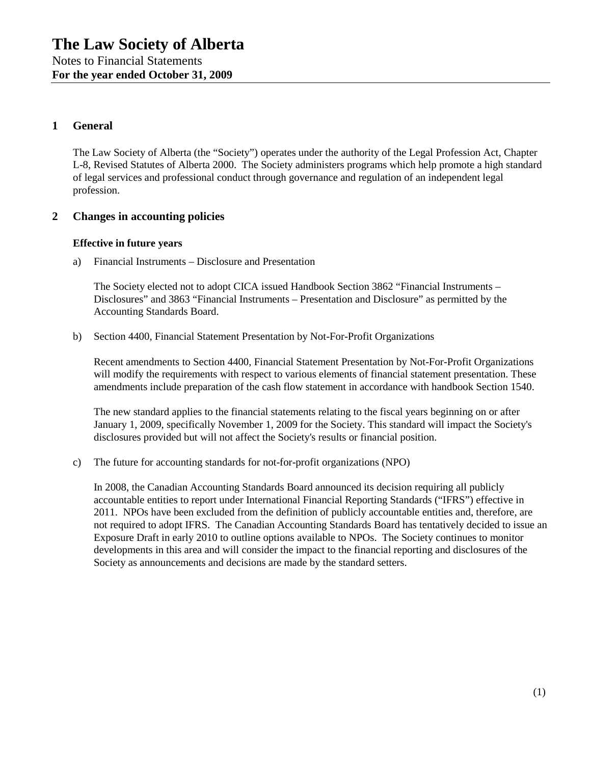# **1 General**

The Law Society of Alberta (the "Society") operates under the authority of the Legal Profession Act, Chapter L-8, Revised Statutes of Alberta 2000. The Society administers programs which help promote a high standard of legal services and professional conduct through governance and regulation of an independent legal profession.

# **2 Changes in accounting policies**

#### **Effective in future years**

a) Financial Instruments – Disclosure and Presentation

The Society elected not to adopt CICA issued Handbook Section 3862 "Financial Instruments – Disclosures" and 3863 "Financial Instruments – Presentation and Disclosure" as permitted by the Accounting Standards Board.

b) Section 4400, Financial Statement Presentation by Not-For-Profit Organizations

Recent amendments to Section 4400, Financial Statement Presentation by Not-For-Profit Organizations will modify the requirements with respect to various elements of financial statement presentation. These amendments include preparation of the cash flow statement in accordance with handbook Section 1540.

The new standard applies to the financial statements relating to the fiscal years beginning on or after January 1, 2009, specifically November 1, 2009 for the Society. This standard will impact the Society's disclosures provided but will not affect the Society's results or financial position.

c) The future for accounting standards for not-for-profit organizations (NPO)

In 2008, the Canadian Accounting Standards Board announced its decision requiring all publicly accountable entities to report under International Financial Reporting Standards ("IFRS") effective in 2011. NPOs have been excluded from the definition of publicly accountable entities and, therefore, are not required to adopt IFRS. The Canadian Accounting Standards Board has tentatively decided to issue an Exposure Draft in early 2010 to outline options available to NPOs. The Society continues to monitor developments in this area and will consider the impact to the financial reporting and disclosures of the Society as announcements and decisions are made by the standard setters.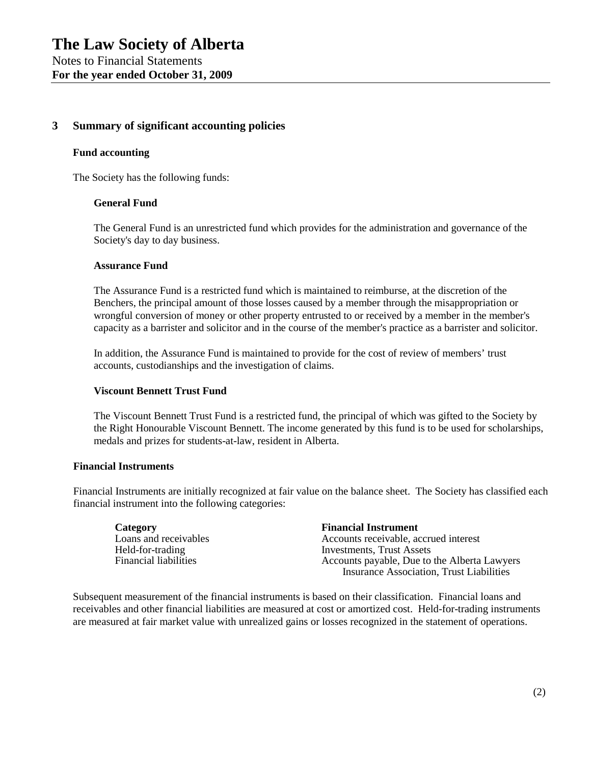# **3 Summary of significant accounting policies**

#### **Fund accounting**

The Society has the following funds:

#### **General Fund**

The General Fund is an unrestricted fund which provides for the administration and governance of the Society's day to day business.

#### **Assurance Fund**

The Assurance Fund is a restricted fund which is maintained to reimburse, at the discretion of the Benchers, the principal amount of those losses caused by a member through the misappropriation or wrongful conversion of money or other property entrusted to or received by a member in the member's capacity as a barrister and solicitor and in the course of the member's practice as a barrister and solicitor.

In addition, the Assurance Fund is maintained to provide for the cost of review of members' trust accounts, custodianships and the investigation of claims.

#### **Viscount Bennett Trust Fund**

The Viscount Bennett Trust Fund is a restricted fund, the principal of which was gifted to the Society by the Right Honourable Viscount Bennett. The income generated by this fund is to be used for scholarships, medals and prizes for students-at-law, resident in Alberta.

#### **Financial Instruments**

Financial Instruments are initially recognized at fair value on the balance sheet. The Society has classified each financial instrument into the following categories:

| Category                     | <b>Financial Instrument</b>                     |
|------------------------------|-------------------------------------------------|
| Loans and receivables        | Accounts receivable, accrued interest           |
| Held-for-trading             | Investments, Trust Assets                       |
| <b>Financial liabilities</b> | Accounts payable, Due to the Alberta Lawyers    |
|                              | <b>Insurance Association, Trust Liabilities</b> |

Subsequent measurement of the financial instruments is based on their classification. Financial loans and receivables and other financial liabilities are measured at cost or amortized cost. Held-for-trading instruments are measured at fair market value with unrealized gains or losses recognized in the statement of operations.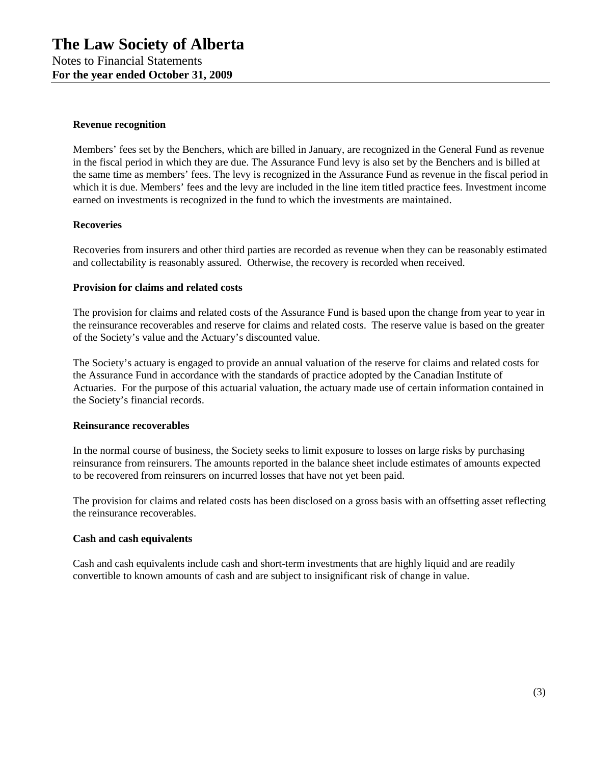#### **Revenue recognition**

Members' fees set by the Benchers, which are billed in January, are recognized in the General Fund as revenue in the fiscal period in which they are due. The Assurance Fund levy is also set by the Benchers and is billed at the same time as members' fees. The levy is recognized in the Assurance Fund as revenue in the fiscal period in which it is due. Members' fees and the levy are included in the line item titled practice fees. Investment income earned on investments is recognized in the fund to which the investments are maintained.

#### **Recoveries**

Recoveries from insurers and other third parties are recorded as revenue when they can be reasonably estimated and collectability is reasonably assured. Otherwise, the recovery is recorded when received.

#### **Provision for claims and related costs**

The provision for claims and related costs of the Assurance Fund is based upon the change from year to year in the reinsurance recoverables and reserve for claims and related costs. The reserve value is based on the greater of the Society's value and the Actuary's discounted value.

The Society's actuary is engaged to provide an annual valuation of the reserve for claims and related costs for the Assurance Fund in accordance with the standards of practice adopted by the Canadian Institute of Actuaries. For the purpose of this actuarial valuation, the actuary made use of certain information contained in the Society's financial records.

#### **Reinsurance recoverables**

In the normal course of business, the Society seeks to limit exposure to losses on large risks by purchasing reinsurance from reinsurers. The amounts reported in the balance sheet include estimates of amounts expected to be recovered from reinsurers on incurred losses that have not yet been paid.

The provision for claims and related costs has been disclosed on a gross basis with an offsetting asset reflecting the reinsurance recoverables.

# **Cash and cash equivalents**

Cash and cash equivalents include cash and short-term investments that are highly liquid and are readily convertible to known amounts of cash and are subject to insignificant risk of change in value.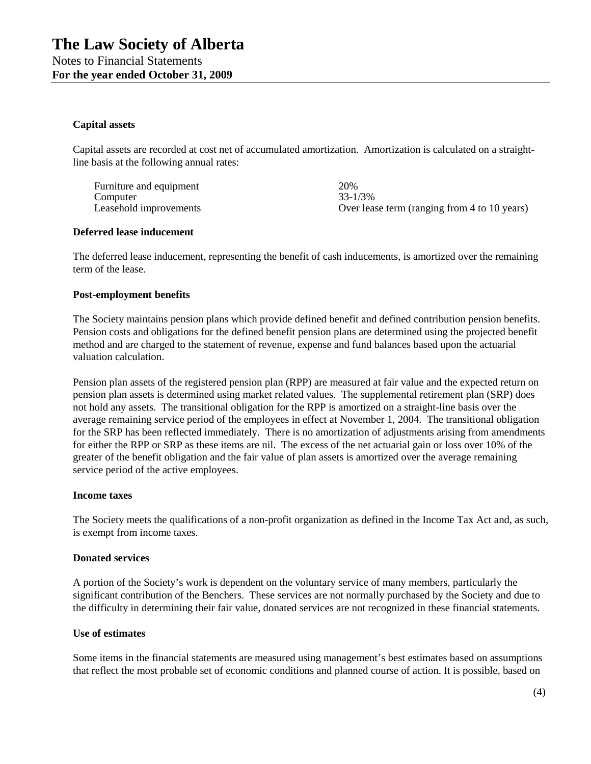#### **Capital assets**

Capital assets are recorded at cost net of accumulated amortization. Amortization is calculated on a straightline basis at the following annual rates:

Furniture and equipment 20% Computer 33-1/3% Leasehold improvements **Containers** Over lease term (ranging from 4 to 10 years)

#### **Deferred lease inducement**

The deferred lease inducement, representing the benefit of cash inducements, is amortized over the remaining term of the lease.

#### **Post-employment benefits**

The Society maintains pension plans which provide defined benefit and defined contribution pension benefits. Pension costs and obligations for the defined benefit pension plans are determined using the projected benefit method and are charged to the statement of revenue, expense and fund balances based upon the actuarial valuation calculation.

Pension plan assets of the registered pension plan (RPP) are measured at fair value and the expected return on pension plan assets is determined using market related values. The supplemental retirement plan (SRP) does not hold any assets. The transitional obligation for the RPP is amortized on a straight-line basis over the average remaining service period of the employees in effect at November 1, 2004. The transitional obligation for the SRP has been reflected immediately. There is no amortization of adjustments arising from amendments for either the RPP or SRP as these items are nil. The excess of the net actuarial gain or loss over 10% of the greater of the benefit obligation and the fair value of plan assets is amortized over the average remaining service period of the active employees.

#### **Income taxes**

The Society meets the qualifications of a non-profit organization as defined in the Income Tax Act and, as such, is exempt from income taxes.

#### **Donated services**

A portion of the Society's work is dependent on the voluntary service of many members, particularly the significant contribution of the Benchers. These services are not normally purchased by the Society and due to the difficulty in determining their fair value, donated services are not recognized in these financial statements.

#### **Use of estimates**

Some items in the financial statements are measured using management's best estimates based on assumptions that reflect the most probable set of economic conditions and planned course of action. It is possible, based on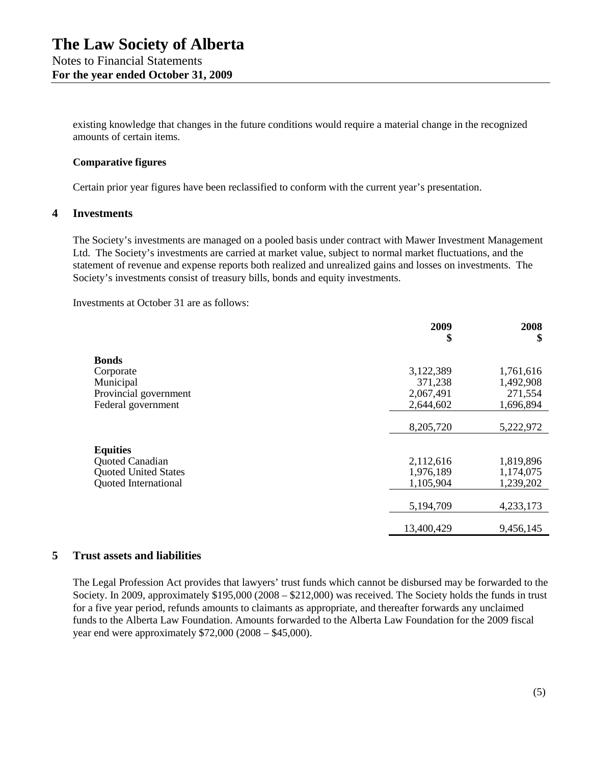existing knowledge that changes in the future conditions would require a material change in the recognized amounts of certain items.

#### **Comparative figures**

Certain prior year figures have been reclassified to conform with the current year's presentation.

# **4 Investments**

The Society's investments are managed on a pooled basis under contract with Mawer Investment Management Ltd. The Society's investments are carried at market value, subject to normal market fluctuations, and the statement of revenue and expense reports both realized and unrealized gains and losses on investments. The Society's investments consist of treasury bills, bonds and equity investments.

Investments at October 31 are as follows:

|                             | 2009<br>\$ | 2008<br>\$ |
|-----------------------------|------------|------------|
| <b>Bonds</b>                |            |            |
| Corporate                   | 3,122,389  | 1,761,616  |
| Municipal                   | 371,238    | 1,492,908  |
| Provincial government       | 2,067,491  | 271,554    |
| Federal government          | 2,644,602  | 1,696,894  |
|                             | 8,205,720  | 5,222,972  |
| <b>Equities</b>             |            |            |
| Quoted Canadian             | 2,112,616  | 1,819,896  |
| <b>Quoted United States</b> | 1,976,189  | 1,174,075  |
| <b>Quoted International</b> | 1,105,904  | 1,239,202  |
|                             | 5,194,709  | 4,233,173  |
|                             | 13,400,429 | 9,456,145  |

#### **5 Trust assets and liabilities**

The Legal Profession Act provides that lawyers' trust funds which cannot be disbursed may be forwarded to the Society. In 2009, approximately \$195,000 (2008 – \$212,000) was received. The Society holds the funds in trust for a five year period, refunds amounts to claimants as appropriate, and thereafter forwards any unclaimed funds to the Alberta Law Foundation. Amounts forwarded to the Alberta Law Foundation for the 2009 fiscal year end were approximately \$72,000 (2008 – \$45,000).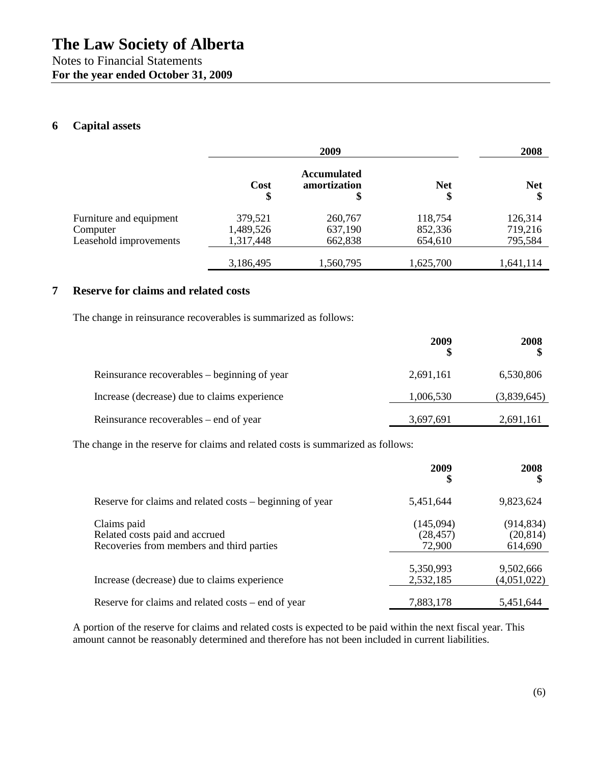# **6 Capital assets**

|                                     | 2009                 |                                          |                    | 2008               |
|-------------------------------------|----------------------|------------------------------------------|--------------------|--------------------|
|                                     | Cost<br>\$           | <b>Accumulated</b><br>amortization<br>\$ | <b>Net</b><br>\$   | <b>Net</b><br>\$   |
| Furniture and equipment<br>Computer | 379,521<br>1,489,526 | 260,767<br>637,190                       | 118,754<br>852,336 | 126,314<br>719,216 |
| Leasehold improvements              | 1,317,448            | 662,838                                  | 654,610            | 795,584            |
|                                     | 3,186,495            | 1,560,795                                | 1,625,700          | 1,641,114          |

# **7 Reserve for claims and related costs**

The change in reinsurance recoverables is summarized as follows:

|                                              | 2009      | 2008        |
|----------------------------------------------|-----------|-------------|
| Reinsurance recoverables – beginning of year | 2,691,161 | 6,530,806   |
| Increase (decrease) due to claims experience | 1,006,530 | (3,839,645) |
| Reinsurance recoverables – end of year       | 3,697,691 | 2,691,161   |

The change in the reserve for claims and related costs is summarized as follows:

|                                                                                            | 2009<br>\$                       | 2008<br>S                          |
|--------------------------------------------------------------------------------------------|----------------------------------|------------------------------------|
| Reserve for claims and related costs – beginning of year                                   | 5,451,644                        | 9,823,624                          |
| Claims paid<br>Related costs paid and accrued<br>Recoveries from members and third parties | (145,094)<br>(28, 457)<br>72,900 | (914, 834)<br>(20, 814)<br>614,690 |
| Increase (decrease) due to claims experience                                               | 5,350,993<br>2,532,185           | 9,502,666<br>(4,051,022)           |
| Reserve for claims and related costs – end of year                                         | 7,883,178                        | 5,451,644                          |

A portion of the reserve for claims and related costs is expected to be paid within the next fiscal year. This amount cannot be reasonably determined and therefore has not been included in current liabilities.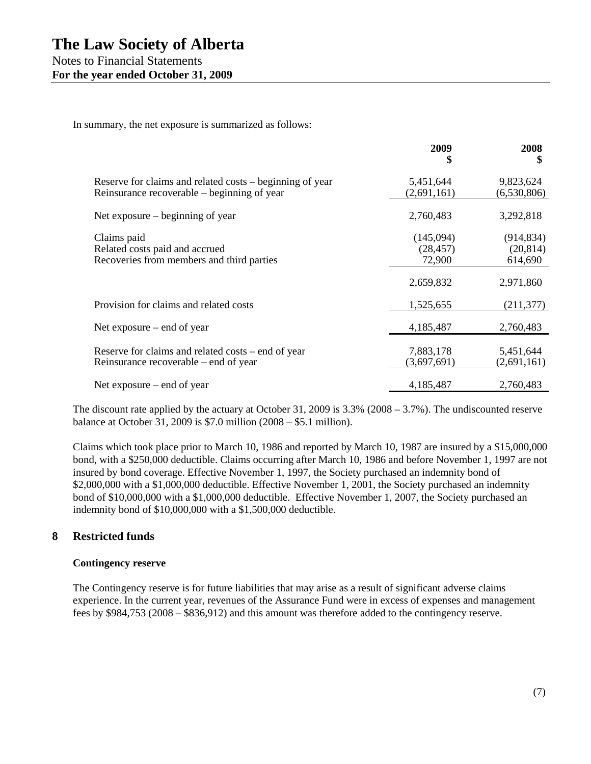In summary, the net exposure is summarized as follows:

|                                                                                                         | 2009<br>\$                       | 2008<br>\$                         |
|---------------------------------------------------------------------------------------------------------|----------------------------------|------------------------------------|
| Reserve for claims and related costs – beginning of year<br>Reinsurance recoverable – beginning of year | 5,451,644<br>(2,691,161)         | 9,823,624<br>(6,530,806)           |
| Net exposure $-$ beginning of year                                                                      | 2,760,483                        | 3,292,818                          |
| Claims paid<br>Related costs paid and accrued<br>Recoveries from members and third parties              | (145,094)<br>(28, 457)<br>72,900 | (914, 834)<br>(20, 814)<br>614,690 |
|                                                                                                         | 2,659,832                        | 2,971,860                          |
| Provision for claims and related costs                                                                  | 1,525,655                        | (211, 377)                         |
| Net exposure $-$ end of year                                                                            | 4,185,487                        | 2,760,483                          |
| Reserve for claims and related costs – end of year<br>Reinsurance recoverable – end of year             | 7,883,178<br>(3,697,691)         | 5,451,644<br>(2,691,161)           |
| Net exposure $-$ end of year                                                                            | 4,185,487                        | 2,760,483                          |

The discount rate applied by the actuary at October 31, 2009 is  $3.3\%$  (2008 – 3.7%). The undiscounted reserve balance at October 31, 2009 is \$7.0 million (2008 – \$5.1 million).

Claims which took place prior to March 10, 1986 and reported by March 10, 1987 are insured by a \$15,000,000 bond, with a \$250,000 deductible. Claims occurring after March 10, 1986 and before November 1, 1997 are not insured by bond coverage. Effective November 1, 1997, the Society purchased an indemnity bond of \$2,000,000 with a \$1,000,000 deductible. Effective November 1, 2001, the Society purchased an indemnity bond of \$10,000,000 with a \$1,000,000 deductible. Effective November 1, 2007, the Society purchased an indemnity bond of \$10,000,000 with a \$1,500,000 deductible.

# **8 Restricted funds**

#### **Contingency reserve**

The Contingency reserve is for future liabilities that may arise as a result of significant adverse claims experience. In the current year, revenues of the Assurance Fund were in excess of expenses and management fees by \$984,753 (2008 – \$836,912) and this amount was therefore added to the contingency reserve.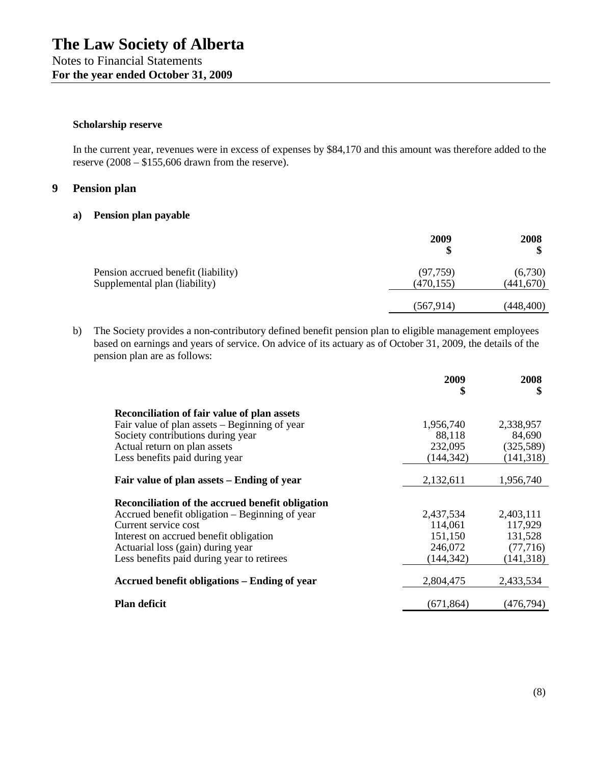#### **Scholarship reserve**

In the current year, revenues were in excess of expenses by \$84,170 and this amount was therefore added to the reserve (2008 – \$155,606 drawn from the reserve).

### **9 Pension plan**

#### **a) Pension plan payable**

|                                                                      | 2009                   | 2008                  |
|----------------------------------------------------------------------|------------------------|-----------------------|
| Pension accrued benefit (liability)<br>Supplemental plan (liability) | (97, 759)<br>(470,155) | (6,730)<br>(441, 670) |
|                                                                      | (567, 914)             | (448, 400)            |

b) The Society provides a non-contributory defined benefit pension plan to eligible management employees based on earnings and years of service. On advice of its actuary as of October 31, 2009, the details of the pension plan are as follows:

|                                                    | 2009<br>\$ | 2008<br>\$ |
|----------------------------------------------------|------------|------------|
| <b>Reconciliation of fair value of plan assets</b> |            |            |
| Fair value of plan assets – Beginning of year      | 1,956,740  | 2,338,957  |
| Society contributions during year                  | 88,118     | 84,690     |
| Actual return on plan assets                       | 232,095    | (325,589)  |
| Less benefits paid during year                     | (144, 342) | (141, 318) |
|                                                    |            |            |
| Fair value of plan assets – Ending of year         | 2,132,611  | 1,956,740  |
| Reconciliation of the accrued benefit obligation   |            |            |
| Accrued benefit obligation – Beginning of year     | 2,437,534  | 2,403,111  |
| Current service cost                               | 114,061    | 117,929    |
| Interest on accrued benefit obligation             | 151,150    | 131,528    |
| Actuarial loss (gain) during year                  | 246,072    | (77, 716)  |
| Less benefits paid during year to retirees         | (144, 342) | (141, 318) |
| Accrued benefit obligations – Ending of year       | 2,804,475  | 2,433,534  |
| <b>Plan deficit</b>                                | (671, 864) | (476,794)  |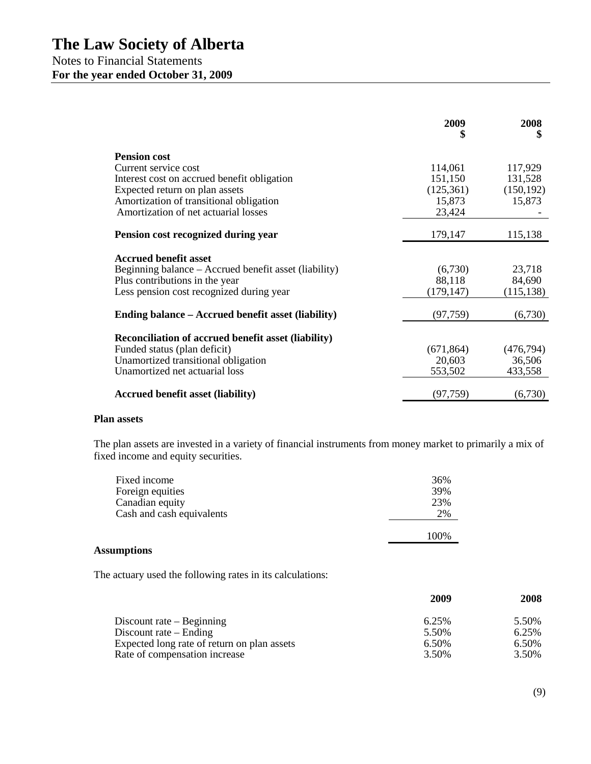|                                                            | 2009<br>\$ | 2008<br>\$ |
|------------------------------------------------------------|------------|------------|
| <b>Pension cost</b>                                        |            |            |
| Current service cost                                       | 114,061    | 117,929    |
| Interest cost on accrued benefit obligation                | 151,150    | 131,528    |
| Expected return on plan assets                             | (125,361)  | (150, 192) |
| Amortization of transitional obligation                    | 15,873     | 15,873     |
| Amortization of net actuarial losses                       | 23,424     |            |
| Pension cost recognized during year                        | 179,147    | 115,138    |
| <b>Accrued benefit asset</b>                               |            |            |
| Beginning balance – Accrued benefit asset (liability)      | (6,730)    | 23,718     |
| Plus contributions in the year                             | 88,118     | 84,690     |
| Less pension cost recognized during year                   | (179, 147) | (115, 138) |
|                                                            |            |            |
| Ending balance – Accrued benefit asset (liability)         | (97, 759)  | (6,730)    |
| <b>Reconciliation of accrued benefit asset (liability)</b> |            |            |
| Funded status (plan deficit)                               | (671, 864) | (476, 794) |
| Unamortized transitional obligation                        | 20,603     | 36,506     |
| Unamortized net actuarial loss                             | 553,502    | 433,558    |
|                                                            |            |            |
| <b>Accrued benefit asset (liability)</b>                   | (97, 759)  | (6,730)    |

#### **Plan assets**

The plan assets are invested in a variety of financial instruments from money market to primarily a mix of fixed income and equity securities.

| Fixed income<br>Foreign equities | 36%<br>39% |
|----------------------------------|------------|
| Canadian equity                  | 23%        |
| Cash and cash equivalents        | 2%         |
|                                  | 100%       |

#### **Assumptions**

The actuary used the following rates in its calculations:

|                                             | 2009  | 2008  |
|---------------------------------------------|-------|-------|
| Discount rate $-$ Beginning                 | 6.25% | 5.50% |
| Discount rate $-$ Ending                    | 5.50% | 6.25% |
| Expected long rate of return on plan assets | 6.50% | 6.50% |
| Rate of compensation increase               | 3.50% | 3.50% |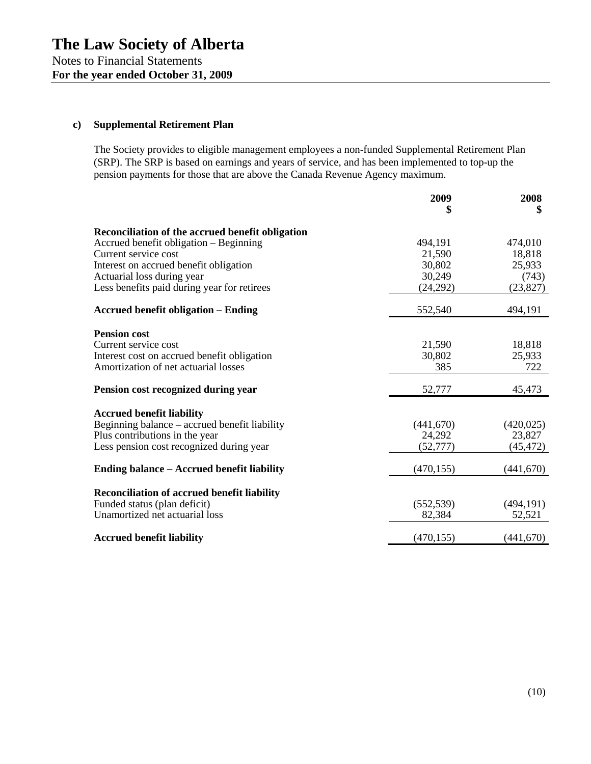# **c) Supplemental Retirement Plan**

The Society provides to eligible management employees a non-funded Supplemental Retirement Plan (SRP). The SRP is based on earnings and years of service, and has been implemented to top-up the pension payments for those that are above the Canada Revenue Agency maximum.

|                                                    | 2009       | 2008<br>\$ |
|----------------------------------------------------|------------|------------|
| Reconciliation of the accrued benefit obligation   |            |            |
| Accrued benefit obligation – Beginning             | 494,191    | 474,010    |
| Current service cost                               | 21,590     | 18,818     |
| Interest on accrued benefit obligation             | 30,802     | 25,933     |
| Actuarial loss during year                         | 30,249     | (743)      |
| Less benefits paid during year for retirees        | (24, 292)  | (23, 827)  |
| <b>Accrued benefit obligation - Ending</b>         | 552,540    | 494,191    |
| <b>Pension cost</b>                                |            |            |
| Current service cost                               | 21,590     | 18,818     |
| Interest cost on accrued benefit obligation        | 30,802     | 25,933     |
| Amortization of net actuarial losses               | 385        | 722        |
| Pension cost recognized during year                | 52,777     | 45,473     |
|                                                    |            |            |
| <b>Accrued benefit liability</b>                   |            |            |
| Beginning balance - accrued benefit liability      | (441,670)  | (420, 025) |
| Plus contributions in the year                     | 24,292     | 23,827     |
| Less pension cost recognized during year           | (52, 777)  | (45, 472)  |
| Ending balance – Accrued benefit liability         | (470, 155) | (441,670)  |
|                                                    |            |            |
| <b>Reconciliation of accrued benefit liability</b> |            |            |
| Funded status (plan deficit)                       | (552, 539) | (494, 191) |
| Unamortized net actuarial loss                     | 82,384     | 52,521     |
| <b>Accrued benefit liability</b>                   | (470, 155) | (441, 670) |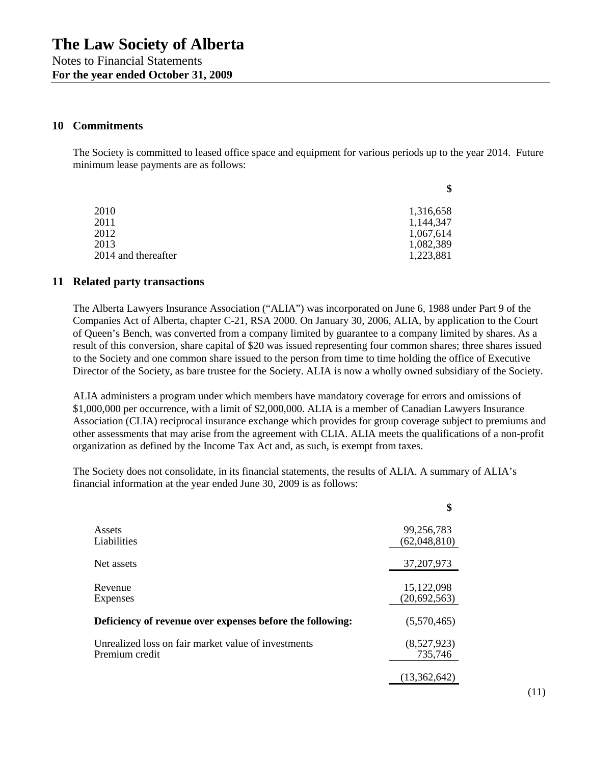#### **10 Commitments**

The Society is committed to leased office space and equipment for various periods up to the year 2014. Future minimum lease payments are as follows:

|                     | \$        |
|---------------------|-----------|
| 2010                | 1,316,658 |
| 2011                | 1,144,347 |
| 2012                | 1,067,614 |
| 2013                | 1,082,389 |
| 2014 and thereafter | 1,223,881 |

#### **11 Related party transactions**

The Alberta Lawyers Insurance Association ("ALIA") was incorporated on June 6, 1988 under Part 9 of the Companies Act of Alberta, chapter C-21, RSA 2000. On January 30, 2006, ALIA, by application to the Court of Queen's Bench, was converted from a company limited by guarantee to a company limited by shares. As a result of this conversion, share capital of \$20 was issued representing four common shares; three shares issued to the Society and one common share issued to the person from time to time holding the office of Executive Director of the Society, as bare trustee for the Society. ALIA is now a wholly owned subsidiary of the Society.

ALIA administers a program under which members have mandatory coverage for errors and omissions of \$1,000,000 per occurrence, with a limit of \$2,000,000. ALIA is a member of Canadian Lawyers Insurance Association (CLIA) reciprocal insurance exchange which provides for group coverage subject to premiums and other assessments that may arise from the agreement with CLIA. ALIA meets the qualifications of a non-profit organization as defined by the Income Tax Act and, as such, is exempt from taxes.

The Society does not consolidate, in its financial statements, the results of ALIA. A summary of ALIA's financial information at the year ended June 30, 2009 is as follows:

|                                                           | \$             |
|-----------------------------------------------------------|----------------|
| Assets                                                    | 99,256,783     |
| Liabilities                                               | (62,048,810)   |
| Net assets                                                | 37, 207, 973   |
| Revenue                                                   | 15,122,098     |
| Expenses                                                  | (20, 692, 563) |
| Deficiency of revenue over expenses before the following: | (5,570,465)    |
| Unrealized loss on fair market value of investments       | (8,527,923)    |
| Premium credit                                            | 735,746        |
|                                                           | (13,362,642)   |

(11)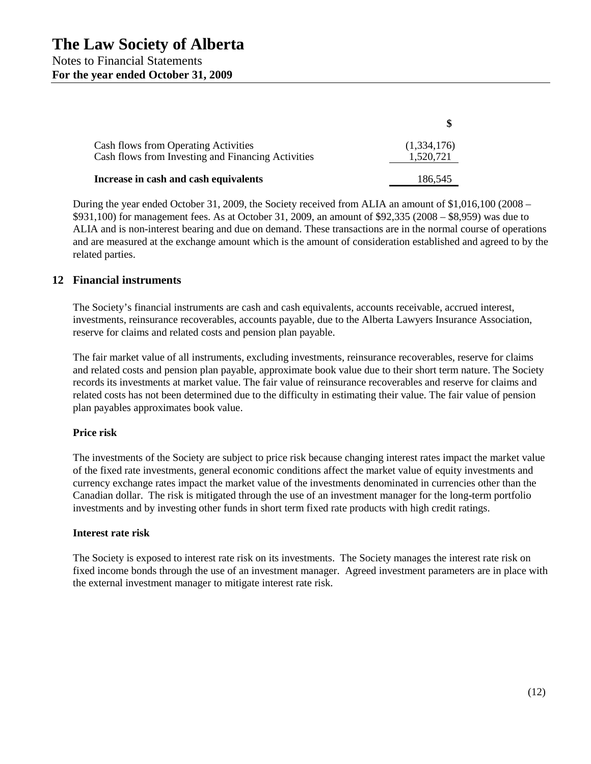| <b>Cash flows from Operating Activities</b><br>Cash flows from Investing and Financing Activities | (1,334,176)<br>1,520,721 |
|---------------------------------------------------------------------------------------------------|--------------------------|
| Increase in cash and cash equivalents                                                             | 186,545                  |

During the year ended October 31, 2009, the Society received from ALIA an amount of \$1,016,100 (2008 – \$931,100) for management fees. As at October 31, 2009, an amount of \$92,335 (2008 – \$8,959) was due to ALIA and is non-interest bearing and due on demand. These transactions are in the normal course of operations and are measured at the exchange amount which is the amount of consideration established and agreed to by the related parties.

# **12 Financial instruments**

The Society's financial instruments are cash and cash equivalents, accounts receivable, accrued interest, investments, reinsurance recoverables, accounts payable, due to the Alberta Lawyers Insurance Association, reserve for claims and related costs and pension plan payable.

The fair market value of all instruments, excluding investments, reinsurance recoverables, reserve for claims and related costs and pension plan payable, approximate book value due to their short term nature. The Society records its investments at market value. The fair value of reinsurance recoverables and reserve for claims and related costs has not been determined due to the difficulty in estimating their value. The fair value of pension plan payables approximates book value.

#### **Price risk**

The investments of the Society are subject to price risk because changing interest rates impact the market value of the fixed rate investments, general economic conditions affect the market value of equity investments and currency exchange rates impact the market value of the investments denominated in currencies other than the Canadian dollar. The risk is mitigated through the use of an investment manager for the long-term portfolio investments and by investing other funds in short term fixed rate products with high credit ratings.

#### **Interest rate risk**

The Society is exposed to interest rate risk on its investments. The Society manages the interest rate risk on fixed income bonds through the use of an investment manager. Agreed investment parameters are in place with the external investment manager to mitigate interest rate risk.